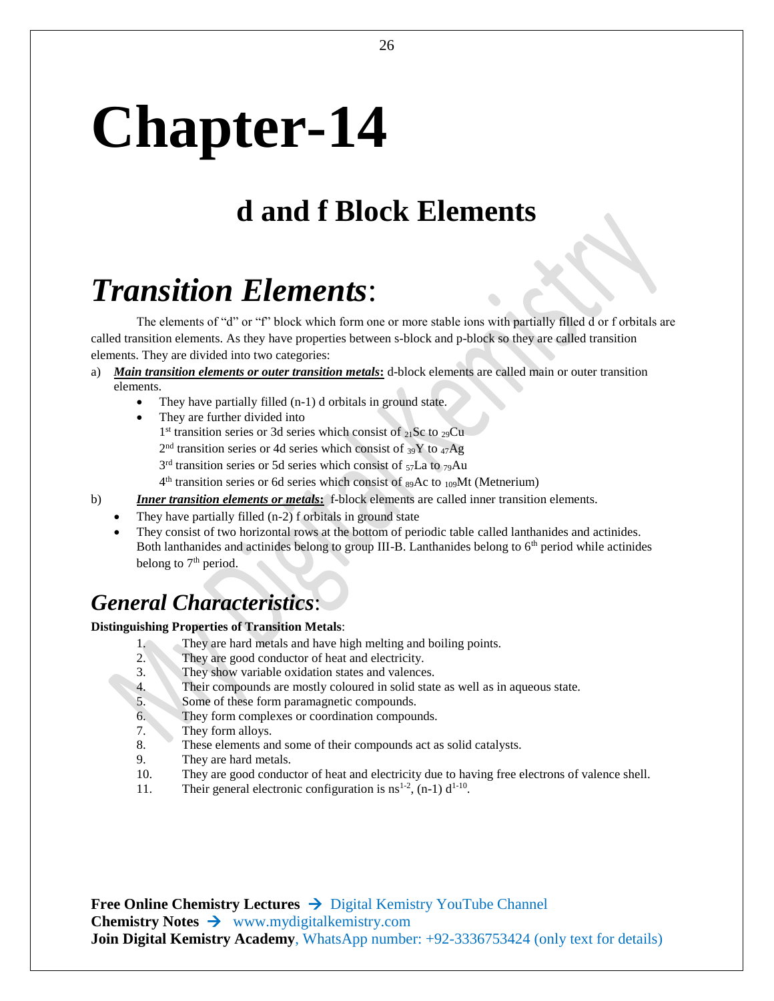# **Chapter-14**

## **d and f Block Elements**

# *Transition Elements*:

The elements of "d" or "f" block which form one or more stable ions with partially filled d or f orbitals are called transition elements. As they have properties between s-block and p-block so they are called transition elements. They are divided into two categories:

- a) *Main transition elements or outer transition metals***:** d-block elements are called main or outer transition elements.
	- They have partially filled (n-1) d orbitals in ground state.
	- They are further divided into 1<sup>st</sup> transition series or 3d series which consist of 21Sc to 29Cu  $2<sup>nd</sup>$  transition series or 4d series which consist of  $_{39}Y$  to  $_{47}Ag$  $3<sup>rd</sup>$  transition series or 5d series which consist of  $57$ La to  $79$ Au 4<sup>th</sup> transition series or 6d series which consist of <sub>89</sub>Ac to <sub>109</sub>Mt (Metnerium)
- b) *Inner transition elements or metals***:** f-block elements are called inner transition elements.
	- They have partially filled (n-2) f orbitals in ground state
		- They consist of two horizontal rows at the bottom of periodic table called lanthanides and actinides. Both lanthanides and actinides belong to group III-B. Lanthanides belong to 6<sup>th</sup> period while actinides belong to  $7<sup>th</sup>$  period.

### *General Characteristics*:

#### **Distinguishing Properties of Transition Metals**:

- 1. They are hard metals and have high melting and boiling points.
- 2. They are good conductor of heat and electricity.
- 3. They show variable oxidation states and valences.
- 4. Their compounds are mostly coloured in solid state as well as in aqueous state.
- 5. Some of these form paramagnetic compounds.
- 6. They form complexes or coordination compounds.
- 7. They form alloys.
- 8. These elements and some of their compounds act as solid catalysts.
- 9. They are hard metals.
- 10. They are good conductor of heat and electricity due to having free electrons of valence shell.
- 11. Their general electronic configuration is  $ns^{1-2}$ , (n-1)  $d^{1-10}$ .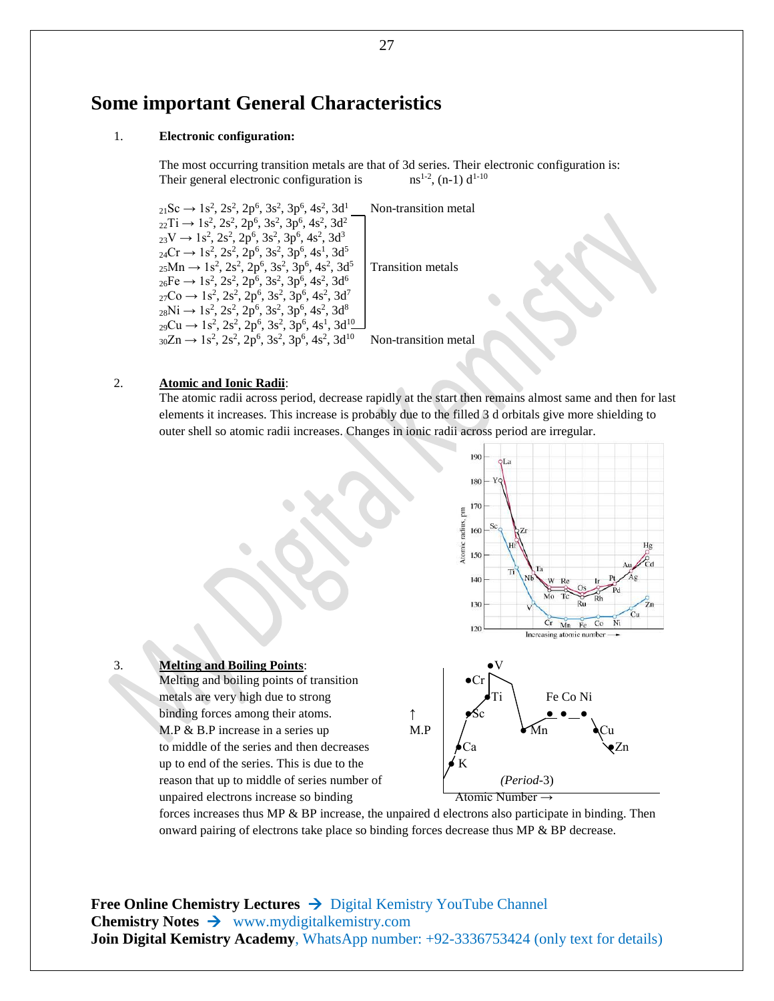### **Some important General Characteristics**

#### 1. **Electronic configuration:**

The most occurring transition metals are that of 3d series. Their electronic configuration is: Their general electronic configuration is  $ns^{1-2}$ , (n-1)  $d^{1-10}$ 

 $_{21}$ Sc  $\rightarrow$  1s<sup>2</sup>, 2s<sup>2</sup>, 2p<sup>6</sup>, 3s<sup>2</sup>, 3p<sup>6</sup>, 4s<sup>2</sup>, 3d<sup>1</sup>  $_{22}Ti \rightarrow 1s^2$ ,  $2s^2$ ,  $2p^6$ ,  $3s^2$ ,  $3p^6$ ,  $4s^2$ ,  $3d^2$  $_{23}V \rightarrow 1s^2$ ,  $2s^2$ ,  $2p^6$ ,  $3s^2$ ,  $3p^6$ ,  $4s^2$ ,  $3d^3$  $_{24}Cr \rightarrow 1s^2$ ,  $2s^2$ ,  $2p^6$ ,  $3s^2$ ,  $3p^6$ ,  $4s^1$ ,  $3d^5$  $_{25}$ Mn  $\rightarrow$  1s<sup>2</sup>, 2s<sup>2</sup>, 2p<sup>6</sup>, 3s<sup>2</sup>, 3p<sup>6</sup>, 4s<sup>2</sup>, 3d<sup>5</sup>  $_{26}Fe \rightarrow 1s^2$ ,  $2s^2$ ,  $2p^6$ ,  $3s^2$ ,  $3p^6$ ,  $4s^2$ ,  $3d^6$  $_{27}Co \rightarrow 1s^2$ ,  $2s^2$ ,  $2p^6$ ,  $3s^2$ ,  $3p^6$ ,  $4s^2$ ,  $3d^7$  $_{28}Ni \rightarrow 1s^2$ ,  $2s^2$ ,  $2p^6$ ,  $3s^2$ ,  $3p^6$ ,  $4s^2$ ,  $3d^8$  $_{29}Cu \rightarrow 1s^2$ ,  $2s^2$ ,  $2p^6$ ,  $3s^2$ ,  $3p^6$ ,  $4s^1$ ,  $3d^{10}$  $_{30}Zn \rightarrow 1s^2$ ,  $2s^2$ ,  $2p^6$ ,  $3s^2$ ,  $3p^6$ ,  $4s^2$ ,  $3d^{10}$ 

Non-transition metal

Transition metals

Non-transition metal

#### 2. **Atomic and Ionic Radii**:

The atomic radii across period, decrease rapidly at the start then remains almost same and then for last elements it increases. This increase is probably due to the filled 3 d orbitals give more shielding to outer shell so atomic radii increases. Changes in ionic radii across period are irregular.



forces increases thus MP & BP increase, the unpaired d electrons also participate in binding. Then onward pairing of electrons take place so binding forces decrease thus MP & BP decrease.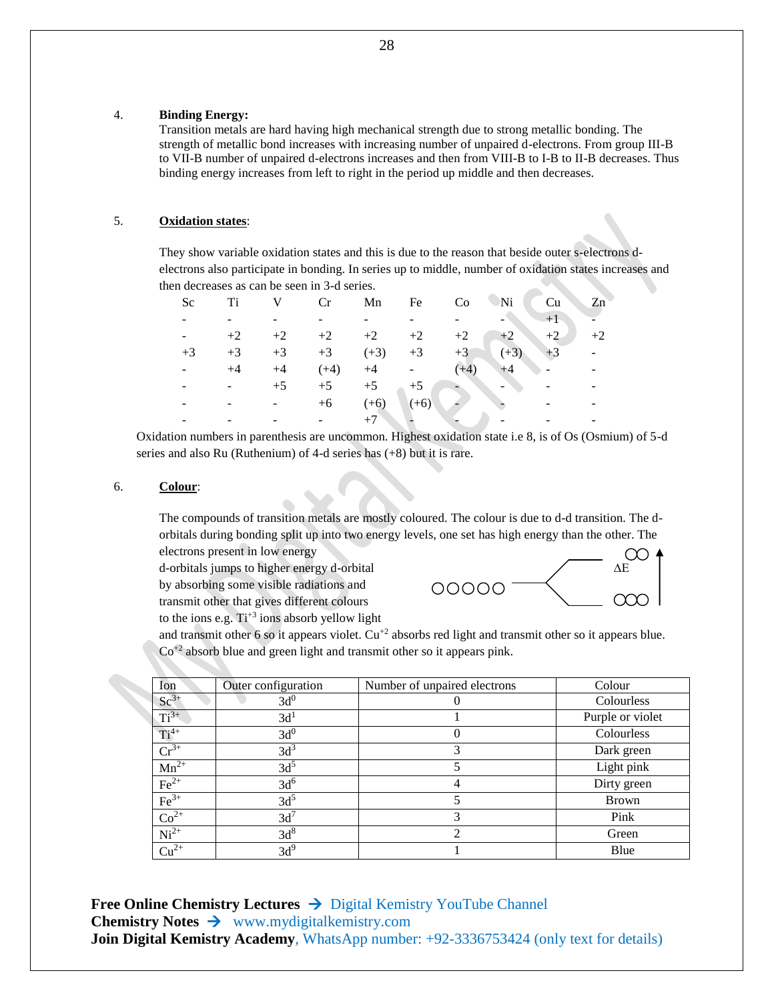#### 4. **Binding Energy:**

Transition metals are hard having high mechanical strength due to strong metallic bonding. The strength of metallic bond increases with increasing number of unpaired d-electrons. From group III-B to VII-B number of unpaired d-electrons increases and then from VIII-B to I-B to II-B decreases. Thus binding energy increases from left to right in the period up middle and then decreases.

#### 5. **Oxidation states**:

They show variable oxidation states and this is due to the reason that beside outer s-electrons delectrons also participate in bonding. In series up to middle, number of oxidation states increases and then decreases as can be seen in 3-d series.

| Sc   | Ti   |      | Cr     | Mn               | Fe     | Co     | $N_i$  | Cu   | Zn   |
|------|------|------|--------|------------------|--------|--------|--------|------|------|
|      |      |      |        |                  |        |        |        | $+1$ |      |
|      | $+2$ | $+2$ | $+2$   | $+2$             | $+2$   | $+2$   | $+2$   | $+2$ | $+2$ |
| $+3$ | $+3$ | $+3$ |        | $+3$ $(+3)$ $+3$ |        | $+3$   | $(+3)$ | $+3$ |      |
|      | $+4$ | $+4$ | $(+4)$ | $+4$             |        | $(+4)$ |        |      |      |
|      |      | $+5$ | $+5$   | $+5$             | $+5$   |        | -      |      |      |
|      |      |      | $+6$   | $(+6)$           | $(+6)$ |        |        |      |      |
|      |      |      |        |                  |        |        |        |      |      |

Oxidation numbers in parenthesis are uncommon. Highest oxidation state i.e 8, is of Os (Osmium) of 5-d series and also Ru (Ruthenium) of 4-d series has (+8) but it is rare.

#### 6. **Colour**:

The compounds of transition metals are mostly coloured. The colour is due to d-d transition. The dorbitals during bonding split up into two energy levels, one set has high energy than the other. The electrons present in low energy

d-orbitals jumps to higher energy d-orbital by absorbing some visible radiations and transmit other that gives different colours to the ions e.g.  $Ti^{+3}$  ions absorb yellow light



and transmit other 6 so it appears violet.  $Cu^{+2}$  absorbs red light and transmit other so it appears blue. Co+2 absorb blue and green light and transmit other so it appears pink.

| Ion                                                         | Outer configuration | Number of unpaired electrons | Colour           |
|-------------------------------------------------------------|---------------------|------------------------------|------------------|
| $Sc^{3+}$                                                   | 3d <sup>0</sup>     |                              | Colourless       |
| $Ti^{3+}$                                                   | 3d <sup>1</sup>     |                              | Purple or violet |
| $Ti^{4+}$                                                   | 3d <sup>0</sup>     | $\theta$                     | Colourless       |
| $Cr^{3+}$                                                   | 3d <sup>3</sup>     | 3                            | Dark green       |
| $Mn^{2+}$                                                   | 3d <sup>5</sup>     | 5                            | Light pink       |
| $Fe2+$                                                      | 3d <sup>6</sup>     | 4                            | Dirty green      |
| $Fe3+$                                                      | 3d <sup>5</sup>     |                              | Brown            |
| $\frac{\overline{{\rm Co}^{2+}}}{\overline{{\rm Ni}^{2+}}}$ | $3d^7$              | 3                            | Pink             |
|                                                             | 3d <sup>8</sup>     | $\mathfrak{D}$               | Green            |
| $Cu^{2+}$                                                   | 3d <sup>9</sup>     |                              | Blue             |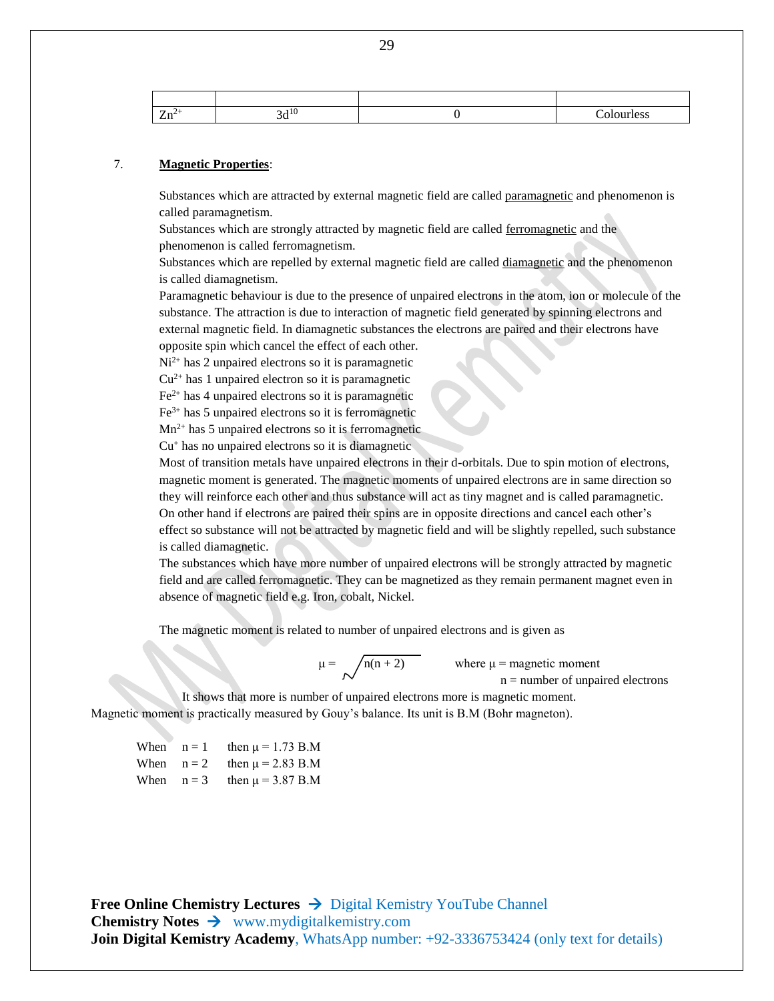| -<br>——— |  |  |
|----------|--|--|

#### 7. **Magnetic Properties**:

Substances which are attracted by external magnetic field are called paramagnetic and phenomenon is called paramagnetism.

Substances which are strongly attracted by magnetic field are called ferromagnetic and the phenomenon is called ferromagnetism.

Substances which are repelled by external magnetic field are called diamagnetic and the phenomenon is called diamagnetism.

Paramagnetic behaviour is due to the presence of unpaired electrons in the atom, ion or molecule of the substance. The attraction is due to interaction of magnetic field generated by spinning electrons and external magnetic field. In diamagnetic substances the electrons are paired and their electrons have opposite spin which cancel the effect of each other.

 $Ni<sup>2+</sup>$  has 2 unpaired electrons so it is paramagnetic

 $Cu<sup>2+</sup>$  has 1 unpaired electron so it is paramagnetic

 $Fe<sup>2+</sup>$  has 4 unpaired electrons so it is paramagnetic

 $Fe<sup>3+</sup>$  has 5 unpaired electrons so it is ferromagnetic

 $Mn^{2+}$  has 5 unpaired electrons so it is ferromagnetic

 $Cu<sup>+</sup>$  has no unpaired electrons so it is diamagnetic

Most of transition metals have unpaired electrons in their d-orbitals. Due to spin motion of electrons, magnetic moment is generated. The magnetic moments of unpaired electrons are in same direction so they will reinforce each other and thus substance will act as tiny magnet and is called paramagnetic. On other hand if electrons are paired their spins are in opposite directions and cancel each other's effect so substance will not be attracted by magnetic field and will be slightly repelled, such substance is called diamagnetic.

The substances which have more number of unpaired electrons will be strongly attracted by magnetic field and are called ferromagnetic. They can be magnetized as they remain permanent magnet even in absence of magnetic field e.g. Iron, cobalt, Nickel.

The magnetic moment is related to number of unpaired electrons and is given as

 $\mu = \sqrt{n(n + 2)}$  where  $\mu$  = magnetic moment  $n =$  number of unpaired electrons

It shows that more is number of unpaired electrons more is magnetic moment. Magnetic moment is practically measured by Gouy's balance. Its unit is B.M (Bohr magneton).

| When $n = 1$ | then $\mu$ = 1.73 B.M              |
|--------------|------------------------------------|
|              | When $n = 2$ then $\mu = 2.83$ B.M |
|              | When $n = 3$ then $\mu = 3.87$ B.M |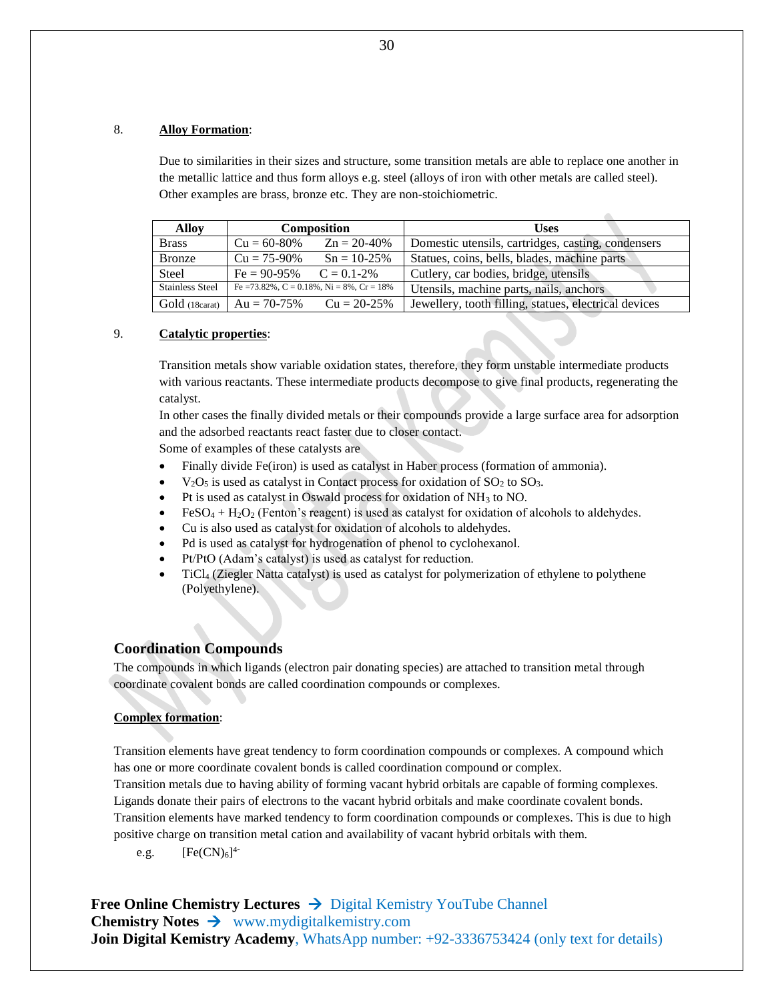#### 8. **Alloy Formation**:

Due to similarities in their sizes and structure, some transition metals are able to replace one another in the metallic lattice and thus form alloys e.g. steel (alloys of iron with other metals are called steel). Other examples are brass, bronze etc. They are non-stoichiometric.

| <b>Alloy</b>           | <b>Composition</b>               |                                           | <b>Uses</b>                                           |  |  |
|------------------------|----------------------------------|-------------------------------------------|-------------------------------------------------------|--|--|
| <b>Brass</b>           | $Cu = 60-80%$                    | $Zn = 20-40%$                             | Domestic utensils, cartridges, casting, condensers    |  |  |
| <b>Bronze</b>          | $Cu = 75-90\%$<br>$Sn = 10-25\%$ |                                           | Statues, coins, bells, blades, machine parts          |  |  |
| <b>Steel</b>           | $Fe = 90-95\%$ $C = 0.1-2\%$     |                                           | Cutlery, car bodies, bridge, utensils                 |  |  |
| <b>Stainless Steel</b> |                                  | Fe = 73.82%, C = 0.18%, Ni = 8%, Cr = 18% | Utensils, machine parts, nails, anchors               |  |  |
| Gold (18carat)         | $Au = 70-75\%$                   | $Cu = 20-25%$                             | Jewellery, tooth filling, statues, electrical devices |  |  |

#### 9. **Catalytic properties**:

Transition metals show variable oxidation states, therefore, they form unstable intermediate products with various reactants. These intermediate products decompose to give final products, regenerating the catalyst.

In other cases the finally divided metals or their compounds provide a large surface area for adsorption and the adsorbed reactants react faster due to closer contact.

Some of examples of these catalysts are

- Finally divide Fe(iron) is used as catalyst in Haber process (formation of ammonia).
- $V<sub>2</sub>O<sub>5</sub>$  is used as catalyst in Contact process for oxidation of  $SO<sub>2</sub>$  to  $SO<sub>3</sub>$ .
- Pt is used as catalyst in Oswald process for oxidation of NH<sup>3</sup> to NO.
- FeSO<sub>4</sub> +  $H_2O_2$  (Fenton's reagent) is used as catalyst for oxidation of alcohols to aldehydes.
- Cu is also used as catalyst for oxidation of alcohols to aldehydes.
- Pd is used as catalyst for hydrogenation of phenol to cyclohexanol.
- Pt/PtO (Adam's catalyst) is used as catalyst for reduction.
- TiCl<sup>4</sup> (Ziegler Natta catalyst) is used as catalyst for polymerization of ethylene to polythene (Polyethylene).

#### **Coordination Compounds**

The compounds in which ligands (electron pair donating species) are attached to transition metal through coordinate covalent bonds are called coordination compounds or complexes.

#### **Complex formation**:

Transition elements have great tendency to form coordination compounds or complexes. A compound which has one or more coordinate covalent bonds is called coordination compound or complex.

Transition metals due to having ability of forming vacant hybrid orbitals are capable of forming complexes. Ligands donate their pairs of electrons to the vacant hybrid orbitals and make coordinate covalent bonds.

Transition elements have marked tendency to form coordination compounds or complexes. This is due to high positive charge on transition metal cation and availability of vacant hybrid orbitals with them.

e.g.  $[Fe(CN)_6]^{4-}$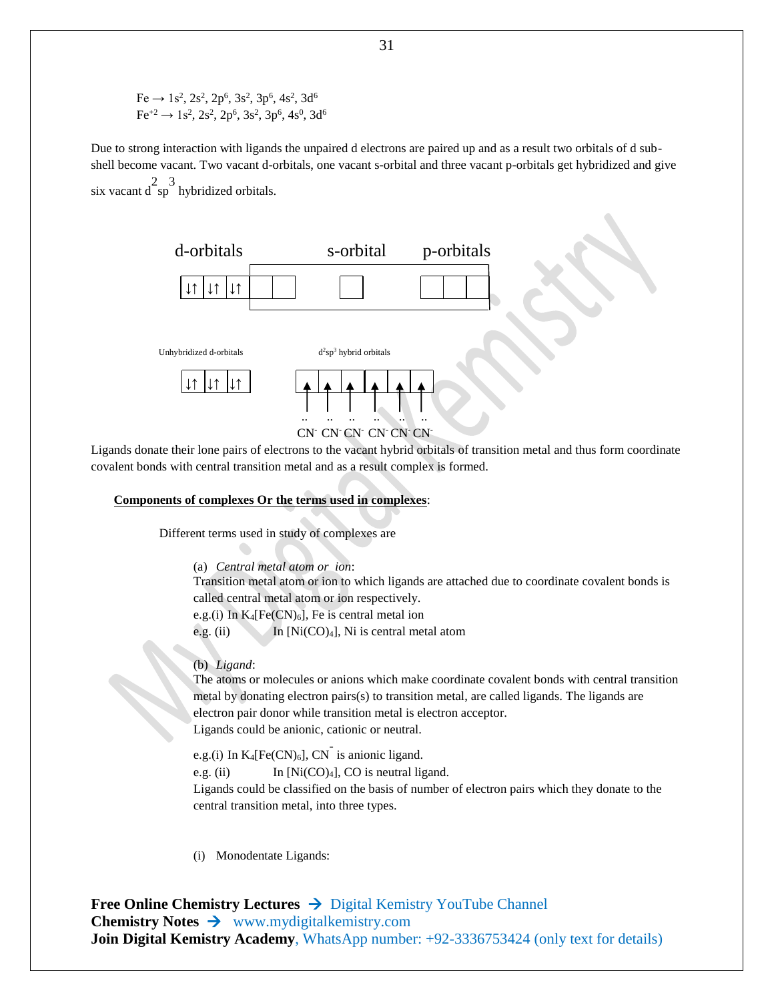$Fe \rightarrow 1s^2$ ,  $2s^2$ ,  $2p^6$ ,  $3s^2$ ,  $3p^6$ ,  $4s^2$ ,  $3d^6$  $\text{Fe}^{+2} \rightarrow 1\text{s}^2$ ,  $2\text{s}^2$ ,  $2\text{p}^6$ ,  $3\text{s}^2$ ,  $3\text{p}^6$ ,  $4\text{s}^0$ ,  $3\text{d}^6$ 

Due to strong interaction with ligands the unpaired d electrons are paired up and as a result two orbitals of d subshell become vacant. Two vacant d-orbitals, one vacant s-orbital and three vacant p-orbitals get hybridized and give six vacant  $d^{2}$ sp<sup>3</sup> hybridized orbitals.



Ligands donate their lone pairs of electrons to the vacant hybrid orbitals of transition metal and thus form coordinate covalent bonds with central transition metal and as a result complex is formed.

#### **Components of complexes Or the terms used in complexes**:

Different terms used in study of complexes are

(a) *Central metal atom or ion*:

Transition metal atom or ion to which ligands are attached due to coordinate covalent bonds is called central metal atom or ion respectively.

e.g.(i) In  $K_4[Fe(CN)_6]$ , Fe is central metal ion

e.g. (ii) In [Ni(CO)<sub>4</sub>], Ni is central metal atom

(b) *Ligand*:

The atoms or molecules or anions which make coordinate covalent bonds with central transition metal by donating electron pairs(s) to transition metal, are called ligands. The ligands are electron pair donor while transition metal is electron acceptor. Ligands could be anionic, cationic or neutral.

e.g.(i) In  $K_4[Fe(CN)_6]$ ,  $CN^{\dagger}$  is anionic ligand.

e.g. (ii) In [Ni(CO)<sub>4</sub>], CO is neutral ligand.

Ligands could be classified on the basis of number of electron pairs which they donate to the central transition metal, into three types.

(i) Monodentate Ligands: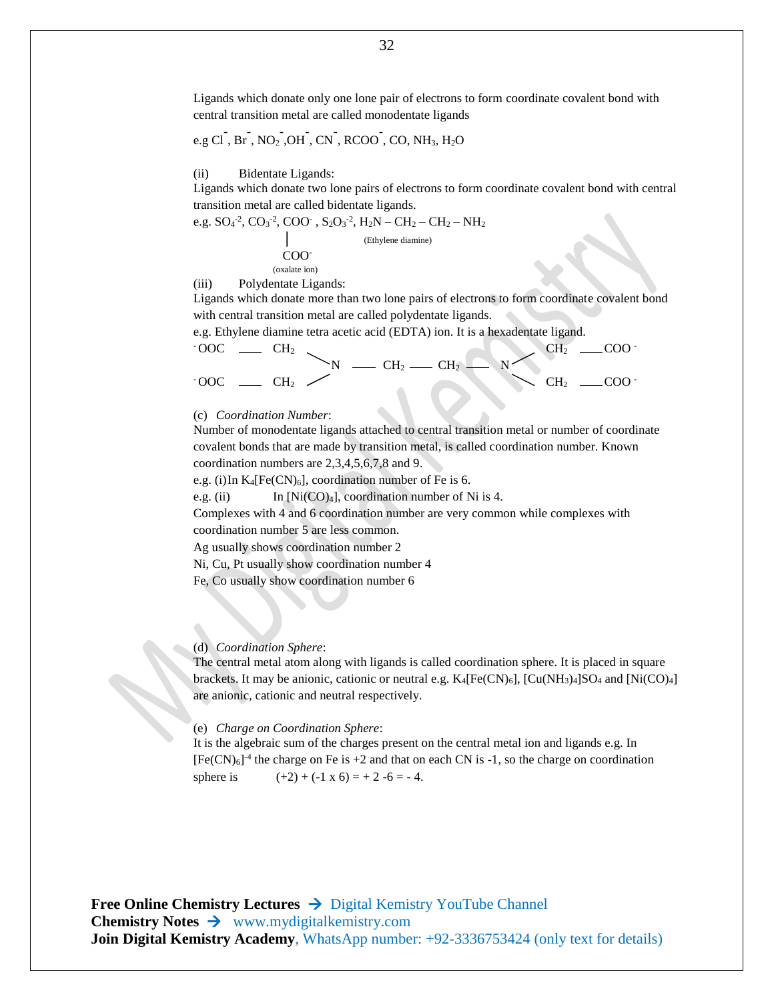Ligands which donate only one lone pair of electrons to form coordinate covalent bond with central transition metal are called monodentate ligands

$$
e.g\overline{CI},\overline{Br},\overline{NO_2},\overline{OH},\overline{CN},\overline{RCOO},\overline{CO},\overline{NH_3},\overline{H_2O}
$$

#### (ii) Bidentate Ligands:

Ligands which donate two lone pairs of electrons to form coordinate covalent bond with central transition metal are called bidentate ligands.

e.g. 
$$
SO_4^{-2}
$$
,  $CO_3^{-2}$ ,  $COO^-$ ,  $S_2O_3^{-2}$ ,  $H_2N - CH_2 - CH_2 - NH_2$   
\n  
\n $COO$   
\n(*oxalate ion*)  
\n(*iii*) Polyden  
\ntate Ligands:

Ligands which donate more than two lone pairs of electrons to form coordinate covalent bond with central transition metal are called polydentate ligands.

e.g. Ethylene diamine tetra acetic acid (EDTA) ion. It is a hexadentate ligand.

$$
{}^{.00C} \quad - {}^{CH_2} \quad > N \quad - {}^{CH_2} \quad - {}^{CH_2} \quad - {}^{CH_2} \quad - {}^{CH_2} \quad - {}^{COO} \quad .
$$

#### (c) *Coordination Number*:

Number of monodentate ligands attached to central transition metal or number of coordinate covalent bonds that are made by transition metal, is called coordination number. Known coordination numbers are 2,3,4,5,6,7,8 and 9.

e.g. (i)In  $K_4[Fe(CN)_6]$ , coordination number of Fe is 6.

e.g. (ii) In  $[Ni(CO)_4]$ , coordination number of Ni is 4.

Complexes with 4 and 6 coordination number are very common while complexes with coordination number 5 are less common.

Ag usually shows coordination number 2

Ni, Cu, Pt usually show coordination number 4

Fe, Co usually show coordination number 6

#### (d) *Coordination Sphere*:

The central metal atom along with ligands is called coordination sphere. It is placed in square brackets. It may be anionic, cationic or neutral e.g.  $K_4[Fe(CN)_6]$ ,  $[Cu(NH_3)_4]SO_4$  and  $[Ni(CO)_4]$ are anionic, cationic and neutral respectively.

#### (e) *Charge on Coordination Sphere*:

It is the algebraic sum of the charges present on the central metal ion and ligands e.g. In  $[Fe(CN)<sub>6</sub>]$ <sup>4</sup> the charge on Fe is +2 and that on each CN is -1, so the charge on coordination sphere is  $(+2) + (-1 \times 6) = +2 -6 = -4.$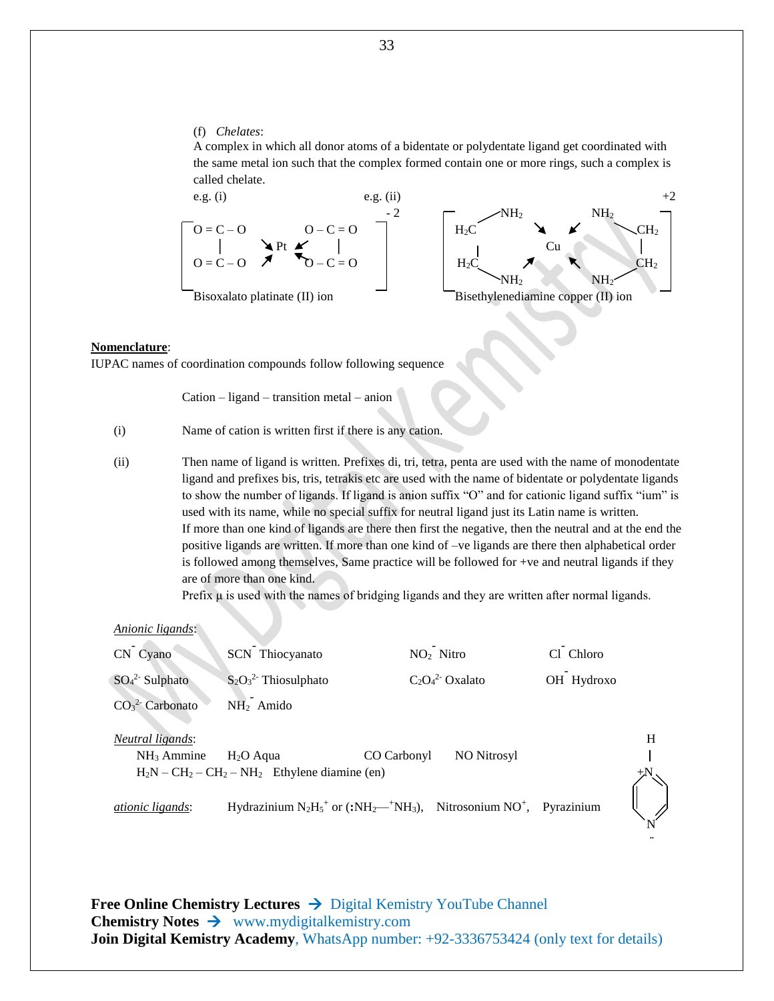#### (f) *Chelates*:

A complex in which all donor atoms of a bidentate or polydentate ligand get coordinated with the same metal ion such that the complex formed contain one or more rings, such a complex is called chelate.



#### **Nomenclature**:

IUPAC names of coordination compounds follow following sequence

Cation – ligand – transition metal – anion

- (i) Name of cation is written first if there is any cation.
- (ii) Then name of ligand is written. Prefixes di, tri, tetra, penta are used with the name of monodentate ligand and prefixes bis, tris, tetrakis etc are used with the name of bidentate or polydentate ligands to show the number of ligands. If ligand is anion suffix "O" and for cationic ligand suffix "ium" is used with its name, while no special suffix for neutral ligand just its Latin name is written. If more than one kind of ligands are there then first the negative, then the neutral and at the end the positive ligands are written. If more than one kind of –ve ligands are there then alphabetical order is followed among themselves, Same practice will be followed for +ve and neutral ligands if they are of more than one kind.

Prefix  $\mu$  is used with the names of bridging ligands and they are written after normal ligands.

**¨**

| Anionic ligands:        |                                                                                                                                   |                                   |            |   |
|-------------------------|-----------------------------------------------------------------------------------------------------------------------------------|-----------------------------------|------------|---|
| CN Cyano                | SCN Thiocyanato                                                                                                                   | NO <sub>2</sub> Nitro             | Cl Chloro  |   |
| $SO_4^2$ - Sulphato     | $S_2O_3^2$ Thiosulphato                                                                                                           | $C_2O_4^2$ Oxalato                | OH Hydroxo |   |
| $CO32$ Carbonato        | $NH2$ Amido                                                                                                                       |                                   |            |   |
| <i>Neutral ligands:</i> |                                                                                                                                   |                                   |            | H |
| $NH3$ Ammine            | $H2O$ Aqua                                                                                                                        | <b>NO Nitrosyl</b><br>CO Carbonyl |            |   |
|                         | $H_2N - CH_2 - CH_2 - NH_2$ Ethylene diamine (en)                                                                                 |                                   |            |   |
| <i>ationic ligands:</i> | Hydrazinium $N_2H_5$ <sup>+</sup> or (:NH <sub>2</sub> — <sup>+</sup> NH <sub>3</sub> ), Nitrosonium NO <sup>+</sup> , Pyrazinium |                                   |            |   |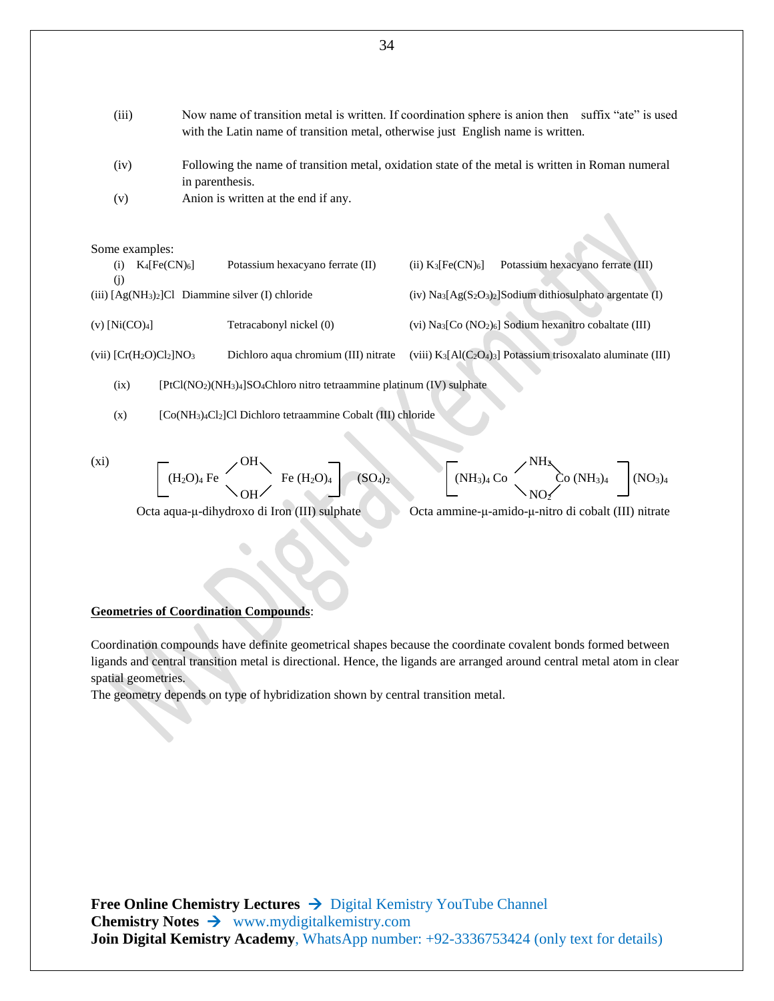(iii) Now name of transition metal is written. If coordination sphere is anion then suffix "ate" is used with the Latin name of transition metal, otherwise just English name is written. (iv) Following the name of transition metal, oxidation state of the metal is written in Roman numeral in parenthesis. (v) Anion is written at the end if any. Some examples: (i)  $K_4[Fe(CN)_6]$  Potassium hexacyano ferrate (II) (ii)  $K_3[Fe(CN)_6]$  Potassium hexacyano ferrate (III) (j) (iii) [Ag(NH3)2]Cl Diammine silver (I) chloride (iv) Na3[Ag(S2O3)2]Sodium dithiosulphato argentate (I)

(v) [Ni(CO)4] Tetracabonyl nickel (0) (vi) Na3[Co (NO2)6] Sodium hexanitro cobaltate (III) (vii) [Cr(H2O)Cl2]NO<sup>3</sup> Dichloro aqua chromium (III) nitrate (viii) K3[Al(C2O4)3] Potassium trisoxalato aluminate (III)

(ix)  $[PtCl(NO<sub>2</sub>)(NH<sub>3</sub>)<sub>4</sub>]SO<sub>4</sub>Chloro nitro tetraammine platinum (IV) sulphate$ 

- (x) [Co(NH3)4Cl2]Cl Dichloro tetraammine Cobalt (III) chloride
- (xi)  $\qquad \qquad \qquad$   $\qquad \qquad$   $\qquad \qquad$   $\qquad \qquad$   $\qquad \qquad$   $\qquad \qquad$   $\qquad \qquad$   $\qquad \qquad$   $\qquad \qquad$   $\qquad \qquad$   $\qquad \qquad$   $\qquad \qquad$   $\qquad \qquad$   $\qquad \qquad$   $\qquad \qquad$   $\qquad \qquad$   $\qquad \qquad$   $\qquad \qquad$   $\qquad \qquad$   $\qquad \qquad$   $\qquad \qquad$   $\qquad \qquad$   $\qquad \qquad$   $\qquad \q$

(SO<sub>4</sub>)<sub>2</sub>  $\begin{bmatrix} \text{(NH}_3)_4 \text{ Co} \\ \text{(NH}_3)_4 \text{ Co} \\ \text{NO} \end{bmatrix}$  (NO<sub>3</sub>)<sub>4</sub> (NO<sub>3</sub>)<sub>4</sub>  $\bigcup$   $\bigcup$   $\bigcup$   $\bigcup$   $\bigcup$   $\bigcup$   $\bigcup$   $\bigcup$ 

Octa aqua-μ-dihydroxo di Iron (III) sulphate Octa ammine-μ-amido-μ-nitro di cobalt (III) nitrate

#### **Geometries of Coordination Compounds**:

Coordination compounds have definite geometrical shapes because the coordinate covalent bonds formed between ligands and central transition metal is directional. Hence, the ligands are arranged around central metal atom in clear spatial geometries.

The geometry depends on type of hybridization shown by central transition metal.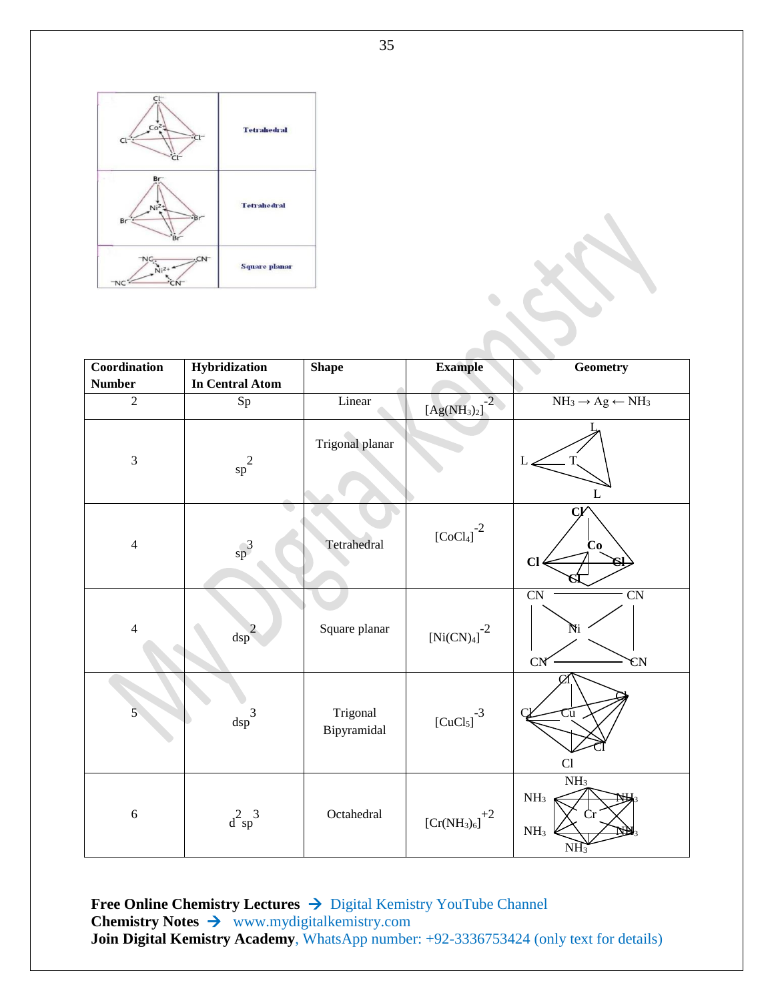

| Coordination   | Hybridization                      | <b>Shape</b>            | <b>Example</b>                               | <b>Geometry</b>                                                        |
|----------------|------------------------------------|-------------------------|----------------------------------------------|------------------------------------------------------------------------|
| <b>Number</b>  | <b>In Central Atom</b>             |                         |                                              |                                                                        |
| $\overline{2}$ | $S_{p}$                            | Linear                  | $-2$<br>[Ag(NH <sub>3</sub> ) <sub>2</sub> ] | $NH_3 \rightarrow Ag \leftarrow NH_3$                                  |
| $\mathfrak{Z}$ | $\mathrm{sp}^2$                    | Trigonal planar         |                                              | L<br>$\mathbf{L}$                                                      |
| $\overline{4}$ | $\mathsf{s}\mathsf{p}^3$           | Tetrahedral             | ${\rm [CoCl_4]}^{-2}$                        | Co<br>$CI$                                                             |
| $\overline{4}$ | $\overline{2}$<br>$\mathrm{dsp}^2$ | Square planar           | $\left[\text{Ni(CN)_{4}}\right]^{-2}$        | CN<br>$\overline{\text{CN}}$<br>Ni<br><b>CN</b><br><b>CN</b>           |
| $\overline{5}$ | $\mathrm{dsp}^3$                   | Trigonal<br>Bipyramidal | ${\rm [CuCl_5]}^{-3}$                        | $\mathop{\rm Cu}\nolimits$<br>Cl                                       |
| $\sqrt{6}$     | $d^2sp^3$                          | Octahedral              | $\left[\mathrm{Cr(NH_3)_6}\right]^{+2}$      | NH <sub>3</sub><br>NH <sub>3</sub><br>NH <sub>3</sub><br>$N_{\rm H_2}$ |

**Free Online Chemistry Lectures → Digital Kemistry YouTube Channel Chemistry Notes** www.mydigitalkemistry.com **Join Digital Kemistry Academy**, WhatsApp number: +92-3336753424 (only text for details)

35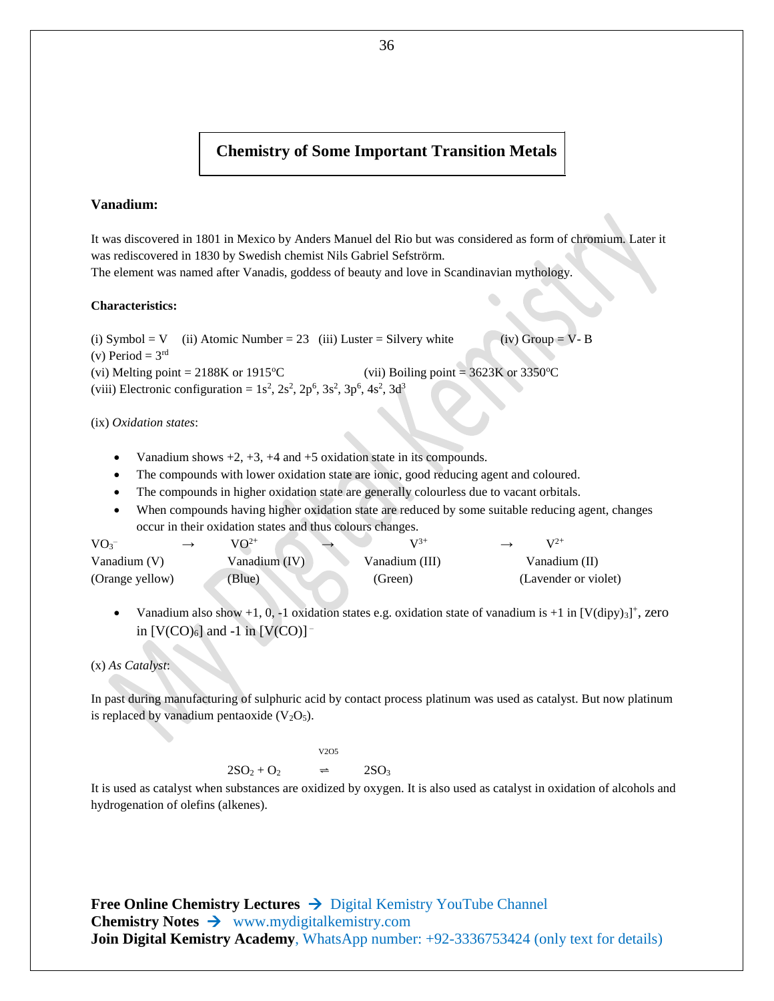#### **Chemistry of Some Important Transition Metals**

#### **Vanadium:**

It was discovered in 1801 in Mexico by Anders Manuel del Rio but was considered as form of chromium. Later it was rediscovered in 1830 by Swedish chemist Nils Gabriel Sefströrm. The element was named after Vanadis, goddess of beauty and love in Scandinavian mythology.

#### **Characteristics:**

(i) Symbol = V (ii) Atomic Number = 23 (iii) Luster = Silvery white (iv) Group = V- B (v) Period =  $3<sup>rd</sup>$ (vi) Melting point =  $2188K$  or  $1915^{\circ}C$  (vii) Boiling point =  $3623K$  or  $3350^{\circ}C$ (viii) Electronic configuration =  $1s^2$ ,  $2s^2$ ,  $2p^6$ ,  $3s^2$ ,  $3p^6$ ,  $4s^2$ ,  $3d^3$ 

(ix) *Oxidation states*:

- Vanadium shows  $+2$ ,  $+3$ ,  $+4$  and  $+5$  oxidation state in its compounds.
- The compounds with lower oxidation state are ionic, good reducing agent and coloured.
- The compounds in higher oxidation state are generally colourless due to vacant orbitals.
- When compounds having higher oxidation state are reduced by some suitable reducing agent, changes occur in their oxidation states and thus colours changes.

| VO <sub>3</sub> | $VO^{2+}$     | $V^{3+}$       | $V^{2+}$             |
|-----------------|---------------|----------------|----------------------|
| Vanadium $(V)$  | Vanadium (IV) | Vanadium (III) | Vanadium (II)        |
| (Orange yellow) | Blue)         | (Green)        | (Lavender or violet) |

• Vanadium also show +1, 0, -1 oxidation states e.g. oxidation state of vanadium is +1 in  $[V(\text{dipy})_3]^+$ , zero in  $[V(CO)_6]$  and -1 in  $[V(CO)]$ <sup>-</sup>

(x) *As Catalyst*:

In past during manufacturing of sulphuric acid by contact process platinum was used as catalyst. But now platinum is replaced by vanadium pentaoxide  $(V_2O_5)$ .

$$
V2O5
$$

 $2SO_2 + O_2$ 

$$
\Rightarrow \qquad 2\text{SO}_3
$$

It is used as catalyst when substances are oxidized by oxygen. It is also used as catalyst in oxidation of alcohols and hydrogenation of olefins (alkenes).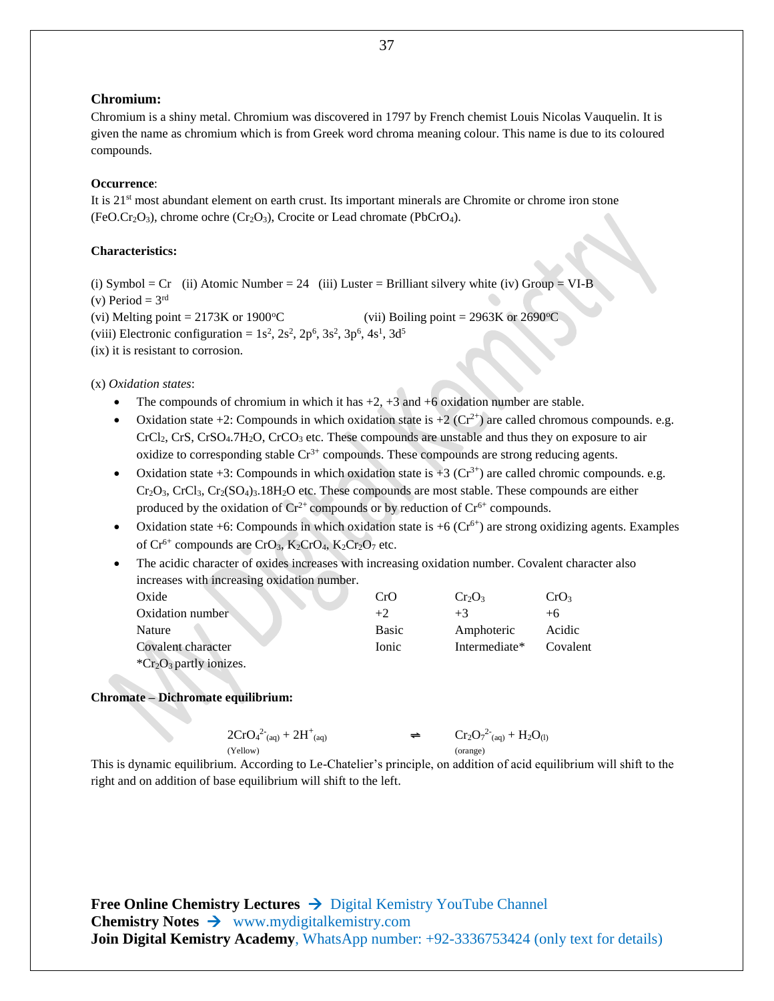#### **Chromium:**

Chromium is a shiny metal. Chromium was discovered in 1797 by French chemist Louis Nicolas Vauquelin. It is given the name as chromium which is from Greek word chroma meaning colour. This name is due to its coloured compounds.

#### **Occurrence**:

It is 21st most abundant element on earth crust. Its important minerals are Chromite or chrome iron stone  $(FeO.Cr<sub>2</sub>O<sub>3</sub>)$ , chrome ochre  $(Cr<sub>2</sub>O<sub>3</sub>)$ , Crocite or Lead chromate (PbCrO<sub>4</sub>).

#### **Characteristics:**

(i) Symbol =  $Cr$  (ii) Atomic Number = 24 (iii) Luster = Brilliant silvery white (iv) Group = VI-B (v) Period =  $3<sup>rd</sup>$ (vi) Melting point = 2173K or 1900 °C (vii) Boiling point = 2963K or 2690 °C (viii) Electronic configuration =  $1s^2$ ,  $2s^2$ ,  $2p^6$ ,  $3s^2$ ,  $3p^6$ ,  $4s^1$ ,  $3d^5$ 

(ix) it is resistant to corrosion.

(x) *Oxidation states*:

- The compounds of chromium in which it has  $+2$ ,  $+3$  and  $+6$  oxidation number are stable.
- Oxidation state  $+2$ : Compounds in which oxidation state is  $+2$  (Cr<sup>2+</sup>) are called chromous compounds. e.g.  $CrCl<sub>2</sub>, CrS, CrSO<sub>4</sub>, 7H<sub>2</sub>O, CrCO<sub>3</sub> etc. These compounds are unstable and thus they on exposure to air$ oxidize to corresponding stable  $Cr^{3+}$  compounds. These compounds are strong reducing agents.
- Oxidation state  $+3$ : Compounds in which oxidation state is  $+3$  (Cr<sup>3+</sup>) are called chromic compounds. e.g.  $Cr_2O_3$ ,  $CrCl_3$ ,  $Cr_2(SO_4)_3.18H_2O$  etc. These compounds are most stable. These compounds are either produced by the oxidation of  $Cr^{2+}$  compounds or by reduction of  $Cr^{6+}$  compounds.
- Oxidation state  $+6$ : Compounds in which oxidation state is  $+6$  (Cr<sup>6+</sup>) are strong oxidizing agents. Examples of  $Cr^{6+}$  compounds are  $CrO_3$ ,  $K_2CrO_4$ ,  $K_2Cr_2O_7$  etc.
- The acidic character of oxides increases with increasing oxidation number. Covalent character also increases with increasing oxidation number.

| Oxide                                       | CrO          | $Cr_2O_3$     | CrO3     |
|---------------------------------------------|--------------|---------------|----------|
| Oxidation number                            | $+2.$        | $+3$          | $+6$     |
| Nature                                      | <b>Basic</b> | Amphoteric    | Acidic   |
| Covalent character                          | <b>Ionic</b> | Intermediate* | Covalent |
| ${}^*\text{Cr}_2\text{O}_3$ partly ionizes. |              |               |          |

#### **Chromate – Dichromate equilibrium:**

$$
\begin{array}{ccc} 2CrO_4{}^2{}_{(aq)}+2H^+{}_{(aq)} & \qquad \qquad & \Longleftrightarrow & \qquad Cr_2O_7{}^2{}_{(aq)}+H_2O_{(l)} \\ \text{(yellow)} & \qquad & \qquad & \text{(orange)} \end{array}
$$

This is dynamic equilibrium. According to Le-Chatelier's principle, on addition of acid equilibrium will shift to the right and on addition of base equilibrium will shift to the left.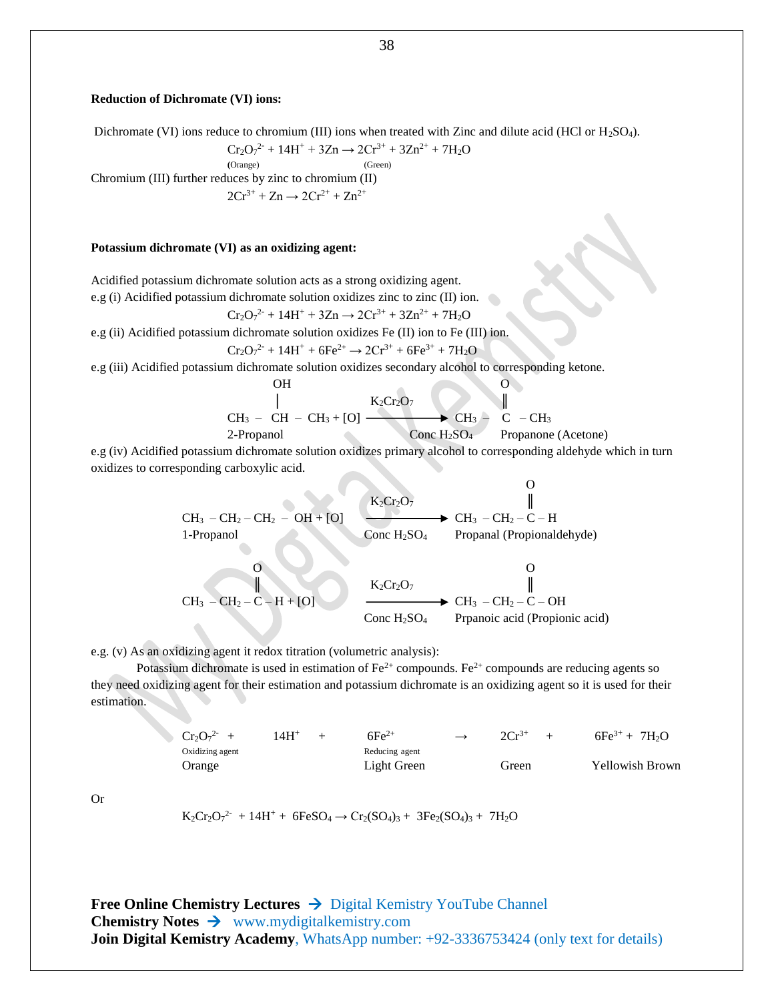#### **Reduction of Dichromate (VI) ions:**

Dichromate (VI) ions reduce to chromium (III) ions when treated with Zinc and dilute acid (HCl or H<sub>2</sub>SO<sub>4</sub>).

$$
Cr_2O_7^{2-} + 14H^+ + 3Zn \rightarrow 2Cr^{3+} + 3Zn^{2+} + 7H_2O
$$

$$
(Orange) (Green)
$$

Chromium (III) further reduces by zinc to chromium (II)  $2Cr^{3+} + Zn \rightarrow 2Cr^{2+} + Zn^{2+}$ 

#### **Potassium dichromate (VI) as an oxidizing agent:**

Acidified potassium dichromate solution acts as a strong oxidizing agent.

e.g (i) Acidified potassium dichromate solution oxidizes zinc to zinc (II) ion.

$$
Cr_2O_7^{2-} + 14H^+ + 3Zn \rightarrow 2Cr^{3+} + 3Zn^{2+} + 7H_2O
$$

e.g (ii) Acidified potassium dichromate solution oxidizes Fe (II) ion to Fe (III) ion.

$$
Cr_2O_7^{2-} + 14H^+ + 6Fe^{2+} \rightarrow 2Cr^{3+} + 6Fe^{3+} + 7H_2O
$$

e.g (iii) Acidified potassium dichromate solution oxidizes secondary alcohol to corresponding ketone.

OH

\n
$$
\begin{array}{ccc}\n & \mid & K_2Cr_2O_7 \\
 & \mid & K_2Cr_2O_7\n\end{array}
$$
\nCH<sub>3</sub> - CH - CH<sub>3</sub> + [O]

\nConc H<sub>2</sub>SO<sub>4</sub> Propanone (Acetone)

 $\Omega$ 

e.g (iv) Acidified potassium dichromate solution oxidizes primary alcohol to corresponding aldehyde which in turn oxidizes to corresponding carboxylic acid.

| $CH_3 - CH_2 - CH_2 - OH + [O]$ | $\xrightarrow{K_2Cr_2O_7}$          | $\xrightarrow{  }$         |
|---------------------------------|-------------------------------------|----------------------------|
| 1-Propanol                      | Conc H <sub>2</sub> SO <sub>4</sub> | Propanal (Propionaldehyde) |

$$
\begin{array}{ccc}\n & 0 & 0 \\
\parallel & \parallel & \parallel & \parallel \\
\text{CH}_3-\text{CH}_2-\text{C}-\text{H}+\text{[O]} & \longrightarrow & \text{CH}_2\text{C}+C-\text{OH} \\
 & \text{Conc H}_2\text{SO}_4 & \text{Prpanoic acid (Propionic acid)}\n\end{array}
$$

e.g. (v) As an oxidizing agent it redox titration (volumetric analysis):

Potassium dichromate is used in estimation of  $Fe^{2+}$  compounds. Fe<sup>2+</sup> compounds are reducing agents so they need oxidizing agent for their estimation and potassium dichromate is an oxidizing agent so it is used for their estimation.

| $Cr_2O_7^{2-}$  | $14H^+$        | $6Fe^{2+}$ | $\rightarrow$   | $2Cr^{3+}$ | $\rightarrow$ | $6Fe^{3+}$ | $7H_2O$ |
|-----------------|----------------|------------|-----------------|------------|---------------|------------|---------|
| Oxidizing agent | Reducing agent | $14H^+$    | $6Fe^{3+}$      | $7H_2O$    |               |            |         |
| Orange          | Light Green    | Green      | Yellowish Brown |            |               |            |         |

Or

 $K_2Cr_2O_7^{2-} + 14H^+ + 6FeSO_4 \rightarrow Cr_2(SO_4)_3 + 3Fe_2(SO_4)_3 + 7H_2O$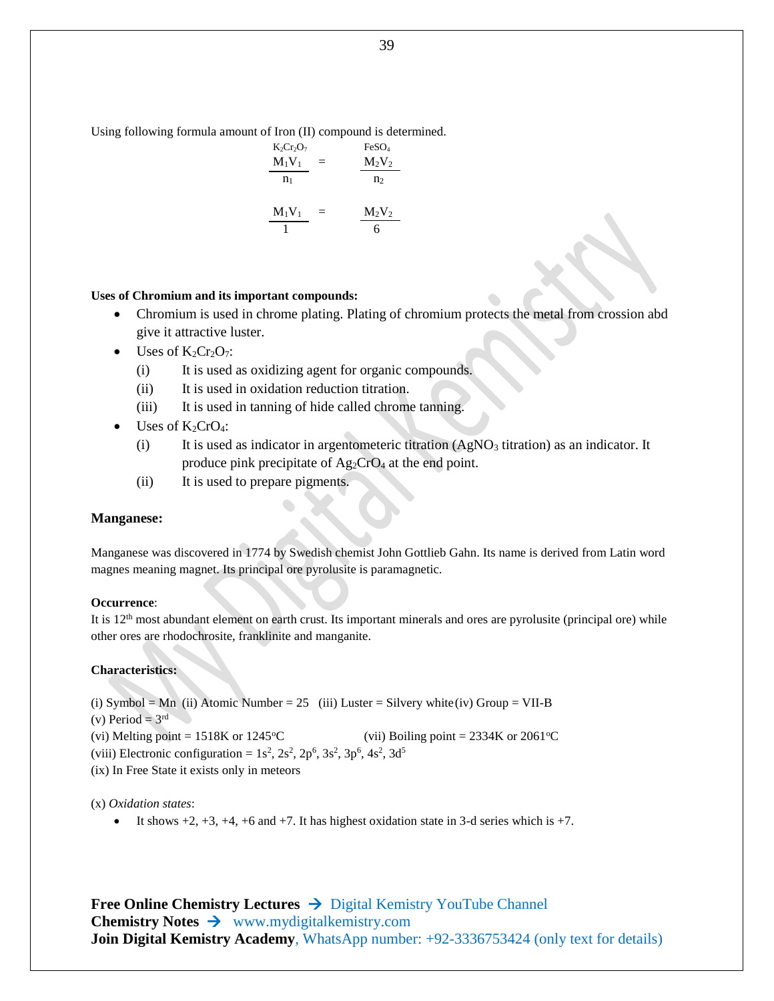Using following formula amount of Iron (II) compound is determined.

$$
\frac{K_2Cr_2O_7}{M_1V_1} = \frac{FeSO_4}{M_2V_2}
$$

$$
\frac{M_1V_1}{1} = \frac{M_2V_2}{6}
$$

#### **Uses of Chromium and its important compounds:**

- Chromium is used in chrome plating. Plating of chromium protects the metal from crossion abd give it attractive luster.
- $\bullet$  Uses of  $K_2Cr_2O_7$ :
	- (i) It is used as oxidizing agent for organic compounds.
	- (ii) It is used in oxidation reduction titration.
	- (iii) It is used in tanning of hide called chrome tanning.
- Uses of  $K_2CrO_4$ :
	- (i) It is used as indicator in argentometeric titration  $(AgNO<sub>3</sub>$  titration) as an indicator. It produce pink precipitate of  $Ag_2CrO_4$  at the end point.
	- (ii) It is used to prepare pigments.

#### **Manganese:**

Manganese was discovered in 1774 by Swedish chemist John Gottlieb Gahn. Its name is derived from Latin word magnes meaning magnet. Its principal ore pyrolusite is paramagnetic.

#### **Occurrence**:

It is  $12<sup>th</sup>$  most abundant element on earth crust. Its important minerals and ores are pyrolusite (principal ore) while other ores are rhodochrosite, franklinite and manganite.

#### **Characteristics:**

(i) Symbol = Mn (ii) Atomic Number = 25 (iii) Luster = Silvery white(iv) Group = VII-B

- (v) Period =  $3<sup>rd</sup>$
- (vi) Melting point =  $1518K$  or  $1245^{\circ}C$  (vii) Boiling point =  $2334K$  or  $2061^{\circ}C$
- (viii) Electronic configuration =  $1s^2$ ,  $2s^2$ ,  $2p^6$ ,  $3s^2$ ,  $3p^6$ ,  $4s^2$ ,  $3d^5$

(ix) In Free State it exists only in meteors

#### (x) *Oxidation states*:

It shows  $+2$ ,  $+3$ ,  $+4$ ,  $+6$  and  $+7$ . It has highest oxidation state in 3-d series which is  $+7$ .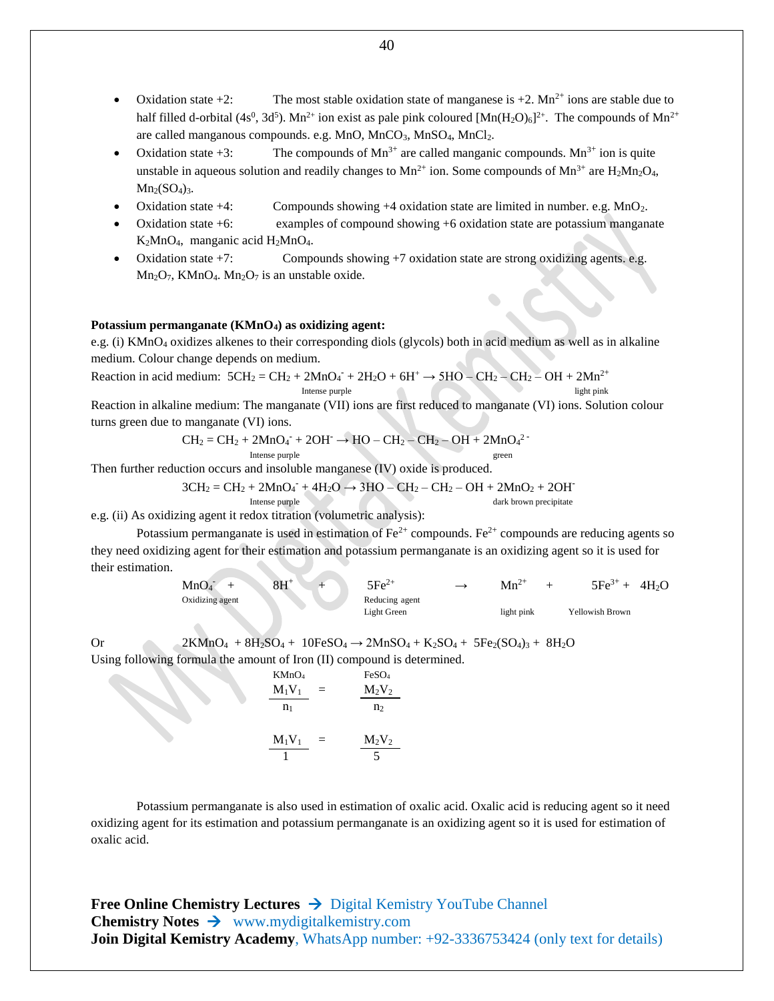- Oxidation state  $+2$ : The most stable oxidation state of manganese is  $+2$ . Mn<sup>2+</sup> ions are stable due to half filled d-orbital (4s<sup>0</sup>, 3d<sup>5</sup>). Mn<sup>2+</sup> ion exist as pale pink coloured [Mn(H<sub>2</sub>O)<sub>6</sub>]<sup>2+</sup>. The compounds of Mn<sup>2+</sup> are called manganous compounds. e.g. MnO, MnCO<sub>3</sub>, MnSO<sub>4</sub>, MnCl<sub>2</sub>.
- Oxidation state  $+3$ : The compounds of Mn<sup>3+</sup> are called manganic compounds. Mn<sup>3+</sup> ion is quite unstable in aqueous solution and readily changes to  $Mn^{2+}$  ion. Some compounds of  $Mn^{3+}$  are  $H_2Mn_2O_4$ ,  $Mn<sub>2</sub>(SO<sub>4</sub>)<sub>3</sub>$ .
- Oxidation state  $+4$ : Compounds showing  $+4$  oxidation state are limited in number. e.g. MnO<sub>2</sub>.
- Oxidation state +6: examples of compound showing +6 oxidation state are potassium manganate K2MnO4, manganic acid H2MnO4.
- Oxidation state  $+7$ : Compounds showing  $+7$  oxidation state are strong oxidizing agents. e.g. Mn<sub>2</sub>O<sub>7</sub>, KMnO<sub>4</sub>. Mn<sub>2</sub>O<sub>7</sub> is an unstable oxide.

#### **Potassium permanganate (KMnO4) as oxidizing agent:**

e.g. (i) KMnO<sub>4</sub> oxidizes alkenes to their corresponding diols (glycols) both in acid medium as well as in alkaline medium. Colour change depends on medium.

Reaction in acid medium: 
$$
5CH_2 = CH_2 + 2MnO_4 + 2H_2O + 6H^+ \rightarrow 5HO - CH_2 - CH_2 - OH + 2Mn^{2+}
$$
  
Intense purple  
light pink

Reaction in alkaline medium: The manganate (VII) ions are first reduced to manganate (VI) ions. Solution colour turns green due to manganate (VI) ions.

$$
CH_2=CH_2+2MnO_4+2OH^{\scriptscriptstyle\bullet} \to HO-CH_2-CH_2-OH+2MnO_4{}^2\text{--}\text{}}{\text{Interest}}
$$

Then further reduction occurs and insoluble manganese (IV) oxide is produced.

$$
3CH_2 = CH_2 + 2MnO_4 + 4H_2O \rightarrow 3HO - CH_2 - CH_2 - OH + 2MnO_2 + 2OH^2
$$

Intense purple dark brown precipitate

e.g. (ii) As oxidizing agent it redox titration (volumetric analysis):

Potassium permanganate is used in estimation of  $Fe^{2+}$  compounds. Fe<sup>2+</sup> compounds are reducing agents so they need oxidizing agent for their estimation and potassium permanganate is an oxidizing agent so it is used for their estimation.

| MnO <sub>4</sub> | $8H^+$ | $\mathsf{5} \mathsf{F} \mathsf{e}^{2+}$ | $Mn^{2+}$  | $5Fe^{3+}$      | 4H <sub>2</sub> O |
|------------------|--------|-----------------------------------------|------------|-----------------|-------------------|
| Oxidizing agent  |        | Reducing agent                          |            |                 |                   |
|                  |        | Light Green                             | light pink | Yellowish Brown |                   |

Or 2KMnO<sub>4</sub> +  $8H_2SO_4$  + 10FeSO<sub>4</sub>  $\rightarrow$  2MnSO<sub>4</sub> + K<sub>2</sub>SO<sub>4</sub> + 5Fe<sub>2</sub>(SO<sub>4</sub>)<sub>3</sub> + 8H<sub>2</sub>O Using following formula the amount of Iron (II) compound is determined.

> KMnO<sub>4</sub> FeSO<sub>4</sub>  $M_1V_1$  =  $M_2V_2$  $n_1$  n<sub>2</sub>  $M_1V_1$  =  $M_2V_2$ 1 5

Potassium permanganate is also used in estimation of oxalic acid. Oxalic acid is reducing agent so it need oxidizing agent for its estimation and potassium permanganate is an oxidizing agent so it is used for estimation of oxalic acid.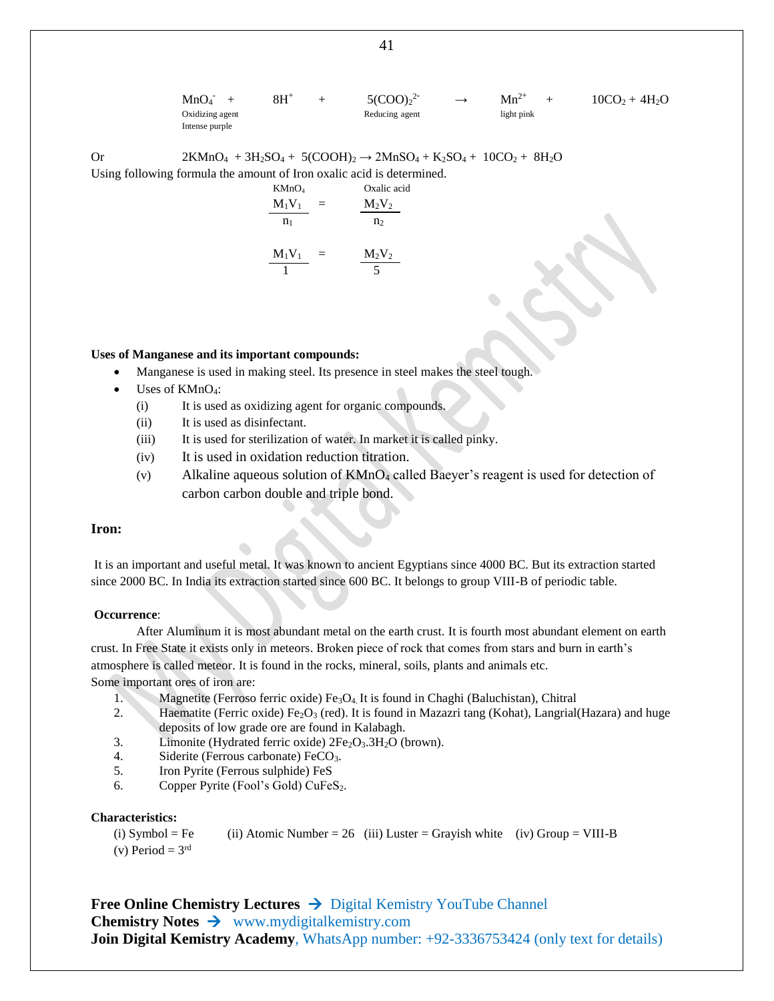$MnO<sub>4</sub>$  +  $8H^+$  +  $5(COO)_2^2$  $Mn^{2+}$  +  $10CO_2 + 4H_2O$ Oxidizing agent and reducing agent light pink Intense purple

Or 2KMnO<sub>4</sub> + 3H<sub>2</sub>SO<sub>4</sub> + 5(COOH)<sub>2</sub>  $\rightarrow$  2MnSO<sub>4</sub> + K<sub>2</sub>SO<sub>4</sub> + 10CO<sub>2</sub> + 8H<sub>2</sub>O Using following formula the amount of Iron oxalic acid is determined.

KMnO<sup>4</sup> Oxalic acid M1V<sup>1</sup> = M2V<sup>2</sup> n1 n<sup>2</sup> M1V<sup>1</sup> = M2V<sup>2</sup> 1 5

#### **Uses of Manganese and its important compounds:**

- Manganese is used in making steel. Its presence in steel makes the steel tough.
- Uses of KMnO4:
	- (i) It is used as oxidizing agent for organic compounds.
	- (ii) It is used as disinfectant.
	- (iii) It is used for sterilization of water. In market it is called pinky.
	- (iv) It is used in oxidation reduction titration.
	- (v) Alkaline aqueous solution of  $KMnO<sub>4</sub>$  called Baeyer's reagent is used for detection of carbon carbon double and triple bond.

#### **Iron:**

It is an important and useful metal. It was known to ancient Egyptians since 4000 BC. But its extraction started since 2000 BC. In India its extraction started since 600 BC. It belongs to group VIII-B of periodic table.

#### **Occurrence**:

After Aluminum it is most abundant metal on the earth crust. It is fourth most abundant element on earth crust. In Free State it exists only in meteors. Broken piece of rock that comes from stars and burn in earth's atmosphere is called meteor. It is found in the rocks, mineral, soils, plants and animals etc. Some important ores of iron are:

- 1. Magnetite (Ferroso ferric oxide) Fe<sub>3</sub>O<sub>4</sub>. It is found in Chaghi (Baluchistan), Chitral
- 2. Haematite (Ferric oxide) Fe<sub>2</sub>O<sub>3</sub> (red). It is found in Mazazri tang (Kohat), Langrial (Hazara) and huge deposits of low grade ore are found in Kalabagh.
- 3. Limonite (Hydrated ferric oxide)  $2Fe<sub>2</sub>O<sub>3</sub>3H<sub>2</sub>O$  (brown).
- 4. Siderite (Ferrous carbonate) FeCO<sub>3</sub>.
- 5. Iron Pyrite (Ferrous sulphide) FeS
- 6. Copper Pyrite (Fool's Gold) CuFeS<sub>2</sub>.

#### **Characteristics:**

(i) Symbol = Fe (ii) Atomic Number = 26 (iii) Luster = Grayish white (iv) Group = VIII-B

(v) Period  $= 3<sup>rd</sup>$ 

**Free Online Chemistry Lectures** Digital Kemistry YouTube Channel **Chemistry Notes** www.mydigitalkemistry.com **Join Digital Kemistry Academy**, WhatsApp number: +92-3336753424 (only text for details)

41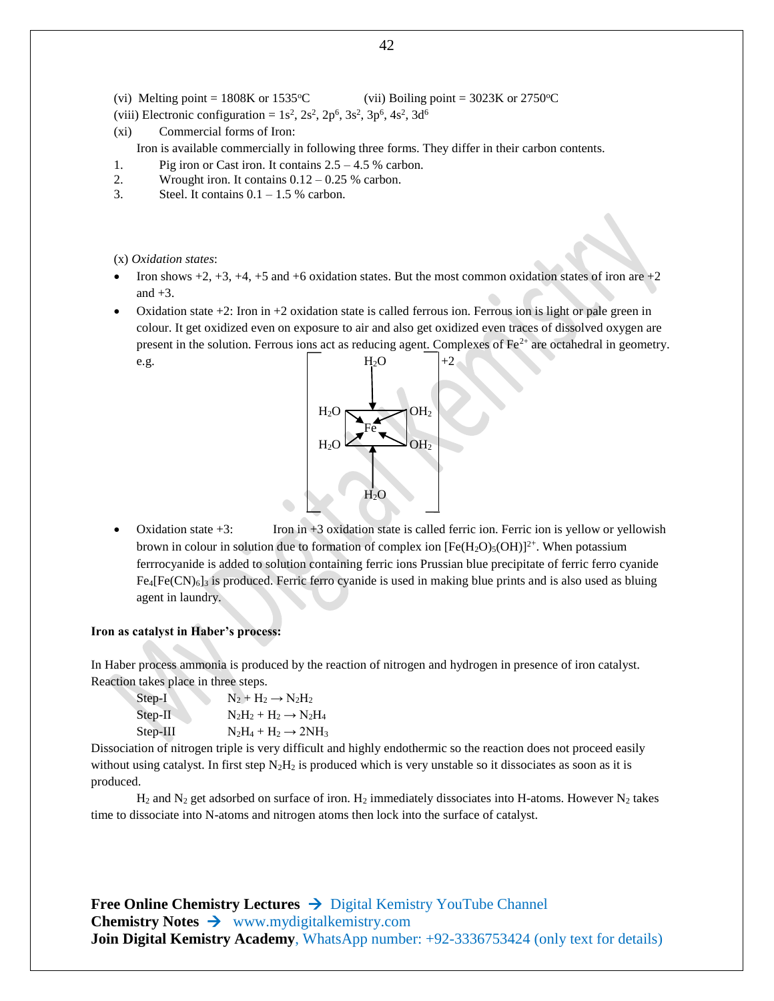(vi) Melting point =  $1808K$  or  $1535^{\circ}$ C (vii) Boiling point =  $3023K$  or  $2750^{\circ}$ C

- (viii) Electronic configuration =  $1s^2$ ,  $2s^2$ ,  $2p^6$ ,  $3s^2$ ,  $3p^6$ ,  $4s^2$ ,  $3d^6$
- (xi) Commercial forms of Iron:

Iron is available commercially in following three forms. They differ in their carbon contents.

- 1. Pig iron or Cast iron. It contains 2.5 4.5 % carbon.
- 2. Wrought iron. It contains  $0.12 0.25$  % carbon.
- 3. Steel. It contains  $0.1 1.5$  % carbon.

(x) *Oxidation states*:

- Iron shows  $+2$ ,  $+3$ ,  $+4$ ,  $+5$  and  $+6$  oxidation states. But the most common oxidation states of iron are  $+2$ and  $+3$ .
- Oxidation state  $+2$ : Iron in  $+2$  oxidation state is called ferrous ion. Ferrous ion is light or pale green in colour. It get oxidized even on exposure to air and also get oxidized even traces of dissolved oxygen are present in the solution. Ferrous ions act as reducing agent. Complexes of  $Fe<sup>2+</sup>$  are octahedral in geometry. e.g.  $H_2O$   $|+2$



 Oxidation state +3: Iron in +3 oxidation state is called ferric ion. Ferric ion is yellow or yellowish brown in colour in solution due to formation of complex ion  $[Fe(H_2O)_5(OH)]^{2+}$ . When potassium ferrrocyanide is added to solution containing ferric ions Prussian blue precipitate of ferric ferro cyanide  $Fe_4[Fe(CN)_6]_3$  is produced. Ferric ferro cyanide is used in making blue prints and is also used as bluing agent in laundry.

#### **Iron as catalyst in Haber's process:**

In Haber process ammonia is produced by the reaction of nitrogen and hydrogen in presence of iron catalyst. Reaction takes place in three steps.

| Step-I    | $N_2 + H_2 \rightarrow N_2H_2$    |
|-----------|-----------------------------------|
| $Step-II$ | $N_2H_2 + H_2 \rightarrow N_2H_4$ |
| Step-III  | $N_2H_4 + H_2 \rightarrow 2NH_3$  |

Dissociation of nitrogen triple is very difficult and highly endothermic so the reaction does not proceed easily without using catalyst. In first step  $N_2H_2$  is produced which is very unstable so it dissociates as soon as it is produced.

 $H_2$  and  $N_2$  get adsorbed on surface of iron.  $H_2$  immediately dissociates into H-atoms. However  $N_2$  takes time to dissociate into N-atoms and nitrogen atoms then lock into the surface of catalyst.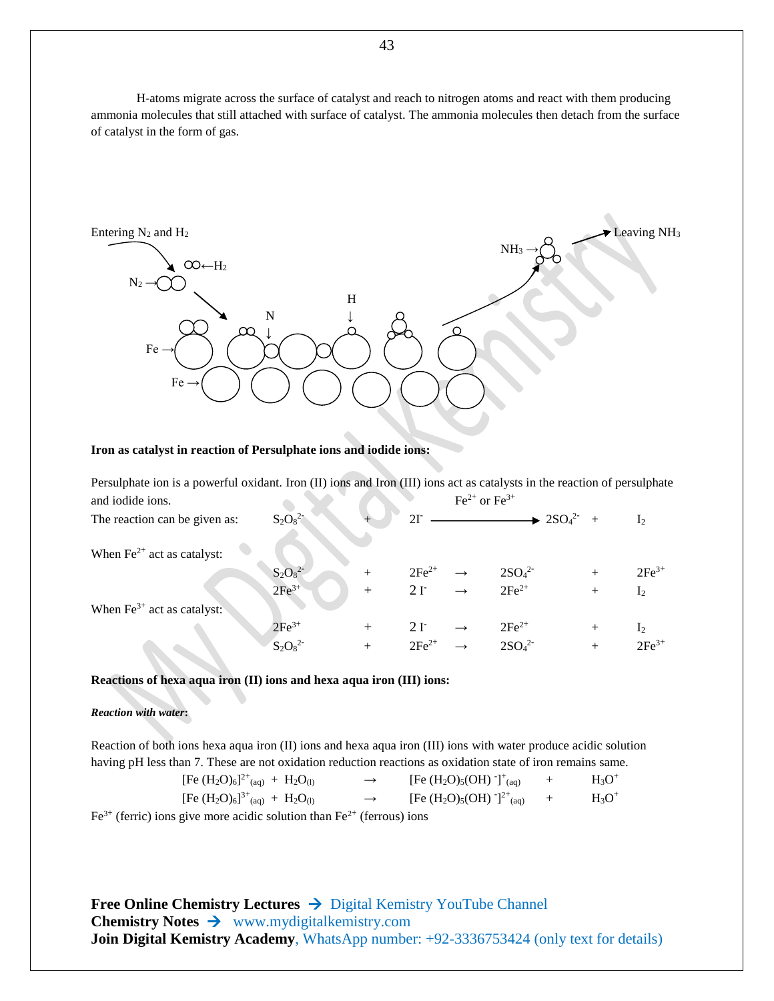H-atoms migrate across the surface of catalyst and reach to nitrogen atoms and react with them producing ammonia molecules that still attached with surface of catalyst. The ammonia molecules then detach from the surface of catalyst in the form of gas.



#### **Iron as catalyst in reaction of Persulphate ions and iodide ions:**

| Persulphate ion is a powerful oxidant. Iron (II) ions and Iron (III) ions act as catalysts in the reaction of persulphate |            |        |            |                                      |                                             |        |                |
|---------------------------------------------------------------------------------------------------------------------------|------------|--------|------------|--------------------------------------|---------------------------------------------|--------|----------------|
| and iodide ions.                                                                                                          |            |        |            | $\text{Fe}^{2+}$ or $\text{Fe}^{3+}$ |                                             |        |                |
| The reaction can be given as:                                                                                             | $S_2O_8^2$ |        |            |                                      | $\rightarrow$ 2SO <sub>4</sub> <sup>2</sup> |        | $\mathbf{I}$   |
|                                                                                                                           |            |        |            |                                      |                                             |        |                |
| When $\text{Fe}^{2+}$ act as catalyst:                                                                                    |            |        |            |                                      |                                             |        |                |
|                                                                                                                           | $S_2O_8^2$ | $^{+}$ | $2Fe^{2+}$ |                                      | 2SO <sub>4</sub> <sup>2</sup>               | $^{+}$ | $2Fe^{3+}$     |
|                                                                                                                           | $2Fe^{3+}$ | $+$    | 2r         |                                      | $2Fe^{2+}$                                  | $^{+}$ | I <sub>2</sub> |
| When $Fe^{3+}$ act as catalyst:                                                                                           |            |        |            |                                      |                                             |        |                |
|                                                                                                                           | $2Fe^{3+}$ | $^{+}$ | 2r         |                                      | $2Fe^{2+}$                                  | $^{+}$ | $\mathbf{I}_2$ |
|                                                                                                                           | $S_2O_8^2$ |        | $2Fe^{2+}$ |                                      | 2SO <sub>4</sub> <sup>2</sup>               |        | $2Fe^{3+}$     |

**Reactions of hexa aqua iron (II) ions and hexa aqua iron (III) ions:**

#### *Reaction with water***:**

Reaction of both ions hexa aqua iron (II) ions and hexa aqua iron (III) ions with water produce acidic solution having pH less than 7. These are not oxidation reduction reactions as oxidation state of iron remains same.

| [Fe $(H_2O)_6$ ] <sup>2+</sup> <sub>(aq)</sub> + $H_2O_{(1)}$         | $\rightarrow$ | [Fe $(H_2O)_5(OH)$ ] <sup>+</sup> <sub>(aq)</sub>                 | $+$ | $H_3O^+$ |
|-----------------------------------------------------------------------|---------------|-------------------------------------------------------------------|-----|----------|
| [Fe $(H_2O)_6$ ] <sup>3+</sup> (aq) + H <sub>2</sub> O <sub>(l)</sub> | $\rightarrow$ | [Fe (H <sub>2</sub> O) <sub>5</sub> (OH) $T^{2+}$ <sub>(aq)</sub> | $+$ | $H_3O^+$ |
|                                                                       | $-21$         |                                                                   |     |          |

 $Fe^{3+}$  (ferric) ions give more acidic solution than  $Fe^{2+}$  (ferrous) ions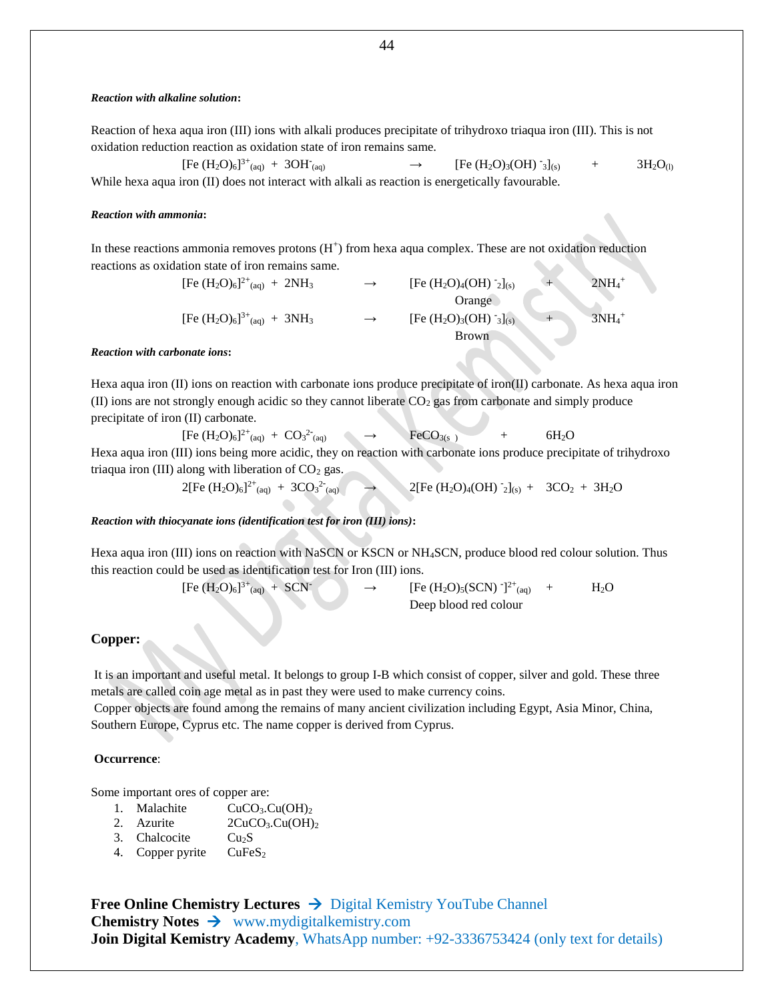#### *Reaction with alkaline solution***:**

Reaction of hexa aqua iron (III) ions with alkali produces precipitate of trihydroxo triaqua iron (III). This is not oxidation reduction reaction as oxidation state of iron remains same.

 $[Fe (H<sub>2</sub>O)<sub>6</sub>]^{3+}$ <sub>(aq)</sub> + 3OH<sup>-</sup>  $[Fe (H<sub>2</sub>O)<sub>3</sub>(OH)$ <sup>-</sup><sub>3</sub> $]_{(s)}$  $+ 3H_2O_{(1)}$ While hexa aqua iron (II) does not interact with alkali as reaction is energetically favourable.

#### *Reaction with ammonia***:**

In these reactions ammonia removes protons  $(H<sup>+</sup>)$  from hexa aqua complex. These are not oxidation reduction reactions as oxidation state of iron remains same.

> [Fe  $(H_2O)_6$ ]<sup>2+</sup> [Fe  $(H_2O)_4(OH)$  <sup>-</sup><sub>2</sub>]<sub>(s)</sub>  $_{2}]_{(s)}$  + 2NH<sub>4</sub><sup>+</sup> Orange [Fe  $(H_2O)_6$ ]<sup>3+</sup>  $[Fe (H<sub>2</sub>O)<sub>3</sub>(OH) <sup>-</sup><sub>3</sub>]<sub>(s)</sub>$  $3\text{NH}_4^+$  3NH<sub>4</sub><sup>+</sup> Brown

#### *Reaction with carbonate ions***:**

Hexa aqua iron (II) ions on reaction with carbonate ions produce precipitate of iron(II) carbonate. As hexa aqua iron (II) ions are not strongly enough acidic so they cannot liberate  $CO<sub>2</sub>$  gas from carbonate and simply produce precipitate of iron (II) carbonate.

 $[Fe (H<sub>2</sub>O)<sub>6</sub>]^{2+}$ <sub>(aq)</sub> +  $CO<sub>3</sub>^{2-}$  $FeCO<sub>3(s)</sub>$  + 6H<sub>2</sub>O Hexa aqua iron (III) ions being more acidic, they on reaction with carbonate ions produce precipitate of trihydroxo triaqua iron (III) along with liberation of  $CO<sub>2</sub>$  gas.

$$
2[Fe (H2O)6]^{2+}{}_{(aq)} + 3CO32{}_{(aq)} \longrightarrow 2[Fe (H2O)4(OH) 2{}_{(s)} + 3CO2 + 3H2O
$$

#### *Reaction with thiocyanate ions (identification test for iron (III) ions)***:**

Hexa aqua iron (III) ions on reaction with NaSCN or KSCN or NH4SCN, produce blood red colour solution. Thus this reaction could be used as identification test for Iron (III) ions.

> $[Fe (H<sub>2</sub>O)<sub>6</sub>]<sup>3+</sup>$  $_{(aq)} + SCN$   $\rightarrow$   $[Fe (H<sub>2</sub>O)<sub>5</sub>(SCN)]^{2+}$ <sub>(aq)</sub> +  $H<sub>2</sub>O$ Deep blood red colour

#### **Copper:**

It is an important and useful metal. It belongs to group I-B which consist of copper, silver and gold. These three metals are called coin age metal as in past they were used to make currency coins.

Copper objects are found among the remains of many ancient civilization including Egypt, Asia Minor, China, Southern Europe, Cyprus etc. The name copper is derived from Cyprus.

#### **Occurrence**:

Some important ores of copper are:

- 1. Malachite CuCO<sub>3</sub>.Cu(OH)<sub>2</sub>
- 2. Azurite  $2CuCO<sub>3</sub>.Cu(OH)<sub>2</sub>$
- 3. Chalcocite  $Cu<sub>2</sub>S$
- 4. Copper pyrite  $CuFeS<sub>2</sub>$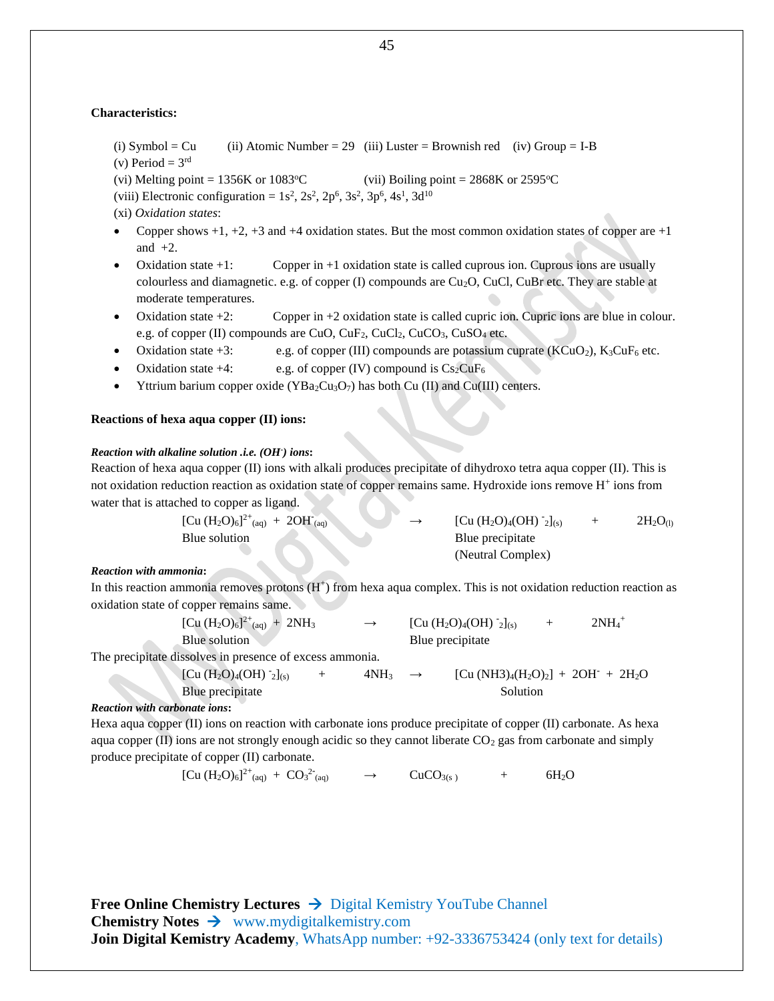#### **Characteristics:**

- (i) Symbol = Cu (ii) Atomic Number = 29 (iii) Luster = Brownish red (iv) Group = I-B
- (v) Period =  $3<sup>rd</sup>$
- (vi) Melting point = 1356K or 1083 °C (vii) Boiling point = 2868K or 2595 °C
- (viii) Electronic configuration =  $1s^2$ ,  $2s^2$ ,  $2p^6$ ,  $3s^2$ ,  $3p^6$ ,  $4s^1$ ,  $3d^{10}$
- (xi) *Oxidation states*:
- Copper shows  $+1$ ,  $+2$ ,  $+3$  and  $+4$  oxidation states. But the most common oxidation states of copper are  $+1$ and  $+2$ .
- Oxidation state +1: Copper in +1 oxidation state is called cuprous ion. Cuprous ions are usually colourless and diamagnetic. e.g. of copper (I) compounds are Cu2O, CuCl, CuBr etc. They are stable at moderate temperatures.
- Oxidation state +2: Copper in +2 oxidation state is called cupric ion. Cupric ions are blue in colour. e.g. of copper (II) compounds are CuO,  $CuF_2$ ,  $CuCl_2$ ,  $CuCO_3$ ,  $CuSO_4$  etc.
- Oxidation state +3: e.g. of copper (III) compounds are potassium cuprate  $(KCuO<sub>2</sub>)$ ,  $K<sub>3</sub>CuF<sub>6</sub>$  etc.
- Oxidation state  $+4$ : e.g. of copper (IV) compound is  $Cs_2CuF_6$
- $\blacktriangleright$  Yttrium barium copper oxide (YBa<sub>2</sub>Cu<sub>3</sub>O<sub>7</sub>) has both Cu (II) and Cu(III) centers.

#### **Reactions of hexa aqua copper (II) ions:**

#### *Reaction with alkaline solution .i.e. (OH- ) ions***:**

Reaction of hexa aqua copper (II) ions with alkali produces precipitate of dihydroxo tetra aqua copper (II). This is not oxidation reduction reaction as oxidation state of copper remains same. Hydroxide ions remove H<sup>+</sup> ions from water that is attached to copper as ligand.

| $[Cu (H2O)6]^{2+}$ (aq) + 2OH (aq) | $\rightarrow$ | [Cu $(H_2O)_4(OH)$ $_2]_{(s)}$ | $2H_2O_{(1)}$ |
|------------------------------------|---------------|--------------------------------|---------------|
| Blue solution                      |               | Blue precipitate               |               |
|                                    |               | (Neutral Complex)              |               |

+

#### *Reaction with ammonia***:**

In this reaction ammonia removes protons  $(H^+)$  from hexa aqua complex. This is not oxidation reduction reaction as oxidation state of copper remains same.

| $[Cu (H2O)6]^{2+}$ <sub>(aq)</sub> + 2NH <sub>3</sub> | $\rightarrow$ | $[Cu (H2O)4(OH) -2](s)$ | $2\mathrm{NH}_4$ |
|-------------------------------------------------------|---------------|-------------------------|------------------|
| Blue solution                                         |               | Blue precipitate        |                  |

The precipitate dissolves in presence of excess ammonia.

| [Cu $(H_2O)_4(OH)$ -2](s) | $4NH_3 \rightarrow$ | $[Cu (NH3)_{4}(H_2O)_2] + 2OH^{\dagger} + 2H_2O$ |
|---------------------------|---------------------|--------------------------------------------------|
| Blue precipitate          |                     | Solution                                         |

#### *Reaction with carbonate ions***:**

Hexa aqua copper (II) ions on reaction with carbonate ions produce precipitate of copper (II) carbonate. As hexa aqua copper  $(II)$  ions are not strongly enough acidic so they cannot liberate  $CO<sub>2</sub>$  gas from carbonate and simply produce precipitate of copper (II) carbonate.

$$
[Cu (H2O)6]^{2+}{}_{(aq)} + CO32{}_{(aq)} \longrightarrow CuCO3(s) + 6H2O
$$